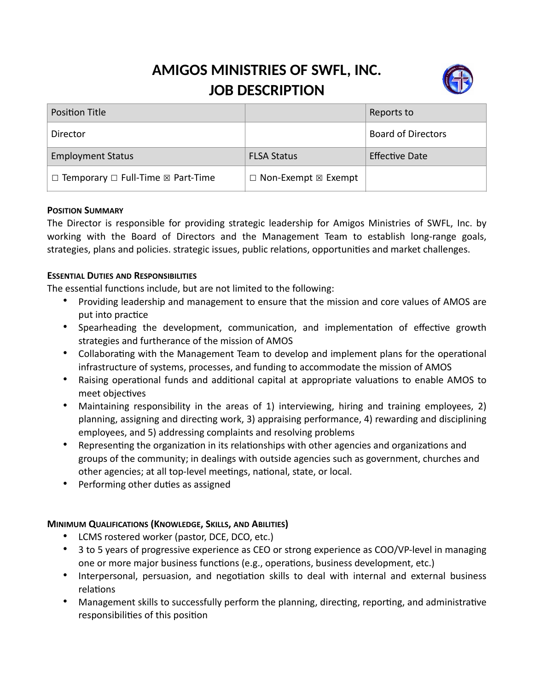# **AMIGOS MINISTRIES OF SWFL, INC. JOB DESCRIPTION**



| <b>Position Title</b>                                   |                                      | Reports to                |
|---------------------------------------------------------|--------------------------------------|---------------------------|
| Director                                                |                                      | <b>Board of Directors</b> |
| <b>Employment Status</b>                                | <b>FLSA Status</b>                   | <b>Effective Date</b>     |
| $\Box$ Temporary $\Box$ Full-Time $\boxtimes$ Part-Time | $\Box$ Non-Exempt $\boxtimes$ Exempt |                           |

### **POSITION SUMMARY**

The Director is responsible for providing strategic leadership for Amigos Ministries of SWFL, Inc. by working with the Board of Directors and the Management Team to establish long-range goals, strategies, plans and policies. strategic issues, public relations, opportunities and market challenges.

### **ESSENTIAL DUTIES AND RESPONSIBILITIES**

The essential functions include, but are not limited to the following:

- Providing leadership and management to ensure that the mission and core values of AMOS are put into practice
- Spearheading the development, communication, and implementation of effective growth strategies and furtherance of the mission of AMOS
- Collaborating with the Management Team to develop and implement plans for the operational infrastructure of systems, processes, and funding to accommodate the mission of AMOS
- Raising operational funds and additional capital at appropriate valuations to enable AMOS to meet objectives
- Maintaining responsibility in the areas of 1) interviewing, hiring and training employees, 2) planning, assigning and directing work, 3) appraising performance, 4) rewarding and disciplining employees, and 5) addressing complaints and resolving problems
- Representing the organization in its relationships with other agencies and organizations and groups of the community; in dealings with outside agencies such as government, churches and other agencies; at all top-level meetings, national, state, or local.
- Performing other duties as assigned

### **MINIMUM QUALIFICATIONS (KNOWLEDGE, SKILLS, AND ABILITIES)**

- LCMS rostered worker (pastor, DCE, DCO, etc.)
- 3 to 5 years of progressive experience as CEO or strong experience as COO/VP-level in managing one or more major business functions (e.g., operations, business development, etc.)
- Interpersonal, persuasion, and negotiation skills to deal with internal and external business relations
- Management skills to successfully perform the planning, directing, reporting, and administrative responsibilities of this position